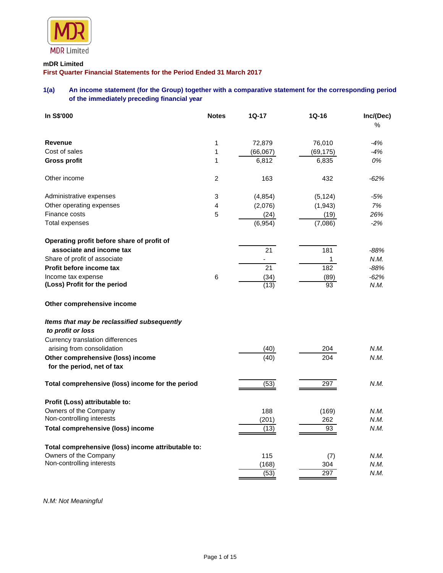

# **mDR Limited**

**First Quarter Financial Statements for the Period Ended 31 March 2017**

# **1(a) An income statement (for the Group) together with a comparative statement for the corresponding period of the immediately preceding financial year**

| In S\$'000                                                       | <b>Notes</b>   | 1Q-17    | $1Q-16$          | Inc/(Dec)<br>% |
|------------------------------------------------------------------|----------------|----------|------------------|----------------|
| <b>Revenue</b>                                                   | 1              | 72,879   | 76,010           | $-4%$          |
| Cost of sales                                                    | 1              | (66,067) | (69, 175)        | $-4%$          |
| <b>Gross profit</b>                                              | 1              | 6,812    | 6,835            | 0%             |
| Other income                                                     | $\overline{c}$ | 163      | 432              | $-62%$         |
| Administrative expenses                                          | 3              | (4, 854) | (5, 124)         | -5%            |
| Other operating expenses                                         | 4              | (2,076)  | (1, 943)         | 7%             |
| Finance costs                                                    | 5              | (24)     | (19)             | 26%            |
| Total expenses                                                   |                | (6,954)  | (7,086)          | $-2%$          |
| Operating profit before share of profit of                       |                |          |                  |                |
| associate and income tax                                         |                | 21       | 181              | $-88%$         |
| Share of profit of associate                                     |                |          | 1                | N.M.           |
| Profit before income tax                                         |                | 21       | 182              | $-88%$         |
| Income tax expense                                               | $\,6$          | (34)     | (89)             | $-62%$         |
| (Loss) Profit for the period                                     |                | (13)     | 93               | N.M.           |
| Other comprehensive income                                       |                |          |                  |                |
| Items that may be reclassified subsequently<br>to profit or loss |                |          |                  |                |
| Currency translation differences                                 |                |          |                  |                |
| arising from consolidation                                       |                | (40)     | 204              | N.M.           |
| Other comprehensive (loss) income                                |                | (40)     | $\overline{204}$ | N.M.           |
| for the period, net of tax                                       |                |          |                  |                |
| Total comprehensive (loss) income for the period                 |                | (53)     | 297              | N.M.           |
| Profit (Loss) attributable to:                                   |                |          |                  |                |
| Owners of the Company                                            |                | 188      | (169)            | N.M.           |
| Non-controlling interests                                        |                | (201)    | 262              | N.M.           |
| <b>Total comprehensive (loss) income</b>                         |                | (13)     | 93               | N.M.           |
| Total comprehensive (loss) income attributable to:               |                |          |                  |                |
| Owners of the Company                                            |                | 115      | (7)              | N.M.           |
| Non-controlling interests                                        |                | (168)    | 304              | N.M.           |
|                                                                  |                | (53)     | 297              | N.M.           |

*N.M: Not Meaningful*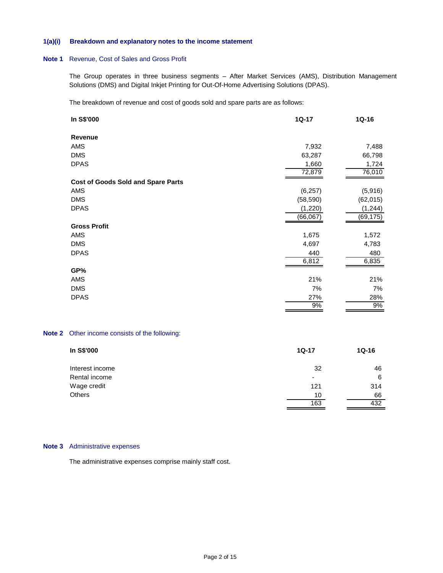# **1(a)(i) Breakdown and explanatory notes to the income statement**

#### **Note 1** Revenue, Cost of Sales and Gross Profit

The Group operates in three business segments – After Market Services (AMS), Distribution Management Solutions (DMS) and Digital Inkjet Printing for Out-Of-Home Advertising Solutions (DPAS).

The breakdown of revenue and cost of goods sold and spare parts are as follows:

| In S\$'000                                | $1Q-17$   | $1Q-16$   |
|-------------------------------------------|-----------|-----------|
| Revenue                                   |           |           |
| AMS                                       | 7,932     | 7,488     |
| <b>DMS</b>                                | 63,287    | 66,798    |
| <b>DPAS</b>                               | 1,660     | 1,724     |
|                                           | 72,879    | 76,010    |
| <b>Cost of Goods Sold and Spare Parts</b> |           |           |
| AMS                                       | (6, 257)  | (5,916)   |
| <b>DMS</b>                                | (58, 590) | (62, 015) |
| <b>DPAS</b>                               | (1,220)   | (1, 244)  |
|                                           | (66,067)  | (69,175)  |
| <b>Gross Profit</b>                       |           |           |
| AMS                                       | 1,675     | 1,572     |
| <b>DMS</b>                                | 4,697     | 4,783     |
| <b>DPAS</b>                               | 440       | 480       |
|                                           | 6,812     | 6,835     |
| GP%                                       |           |           |
| AMS                                       | 21%       | 21%       |
| <b>DMS</b>                                | 7%        | 7%        |
| <b>DPAS</b>                               | 27%       | 28%       |
|                                           | 9%        | 9%        |
|                                           |           |           |

# **Note 2** Other income consists of the following:

| In S\$'000      | $1Q-17$ | $1Q-16$ |
|-----------------|---------|---------|
| Interest income | 32      | 46      |
| Rental income   | ٠       | 6       |
| Wage credit     | 121     | 314     |
| <b>Others</b>   | 10      | 66      |
|                 | 163     | 432     |

## **Note 3** Administrative expenses

The administrative expenses comprise mainly staff cost.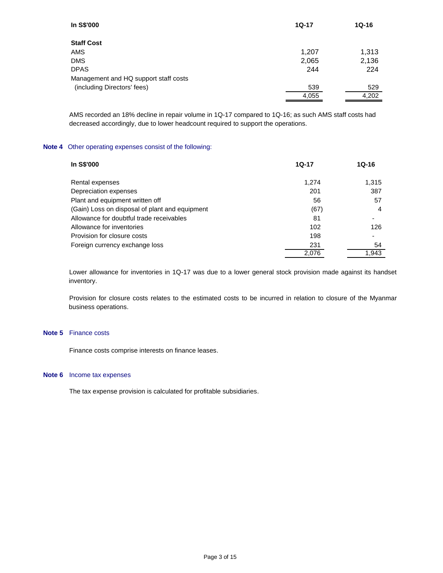| In S\$'000                            | 1Q-17 | $1Q-16$ |
|---------------------------------------|-------|---------|
| <b>Staff Cost</b>                     |       |         |
| <b>AMS</b>                            | 1,207 | 1,313   |
| <b>DMS</b>                            | 2,065 | 2,136   |
| <b>DPAS</b>                           | 244   | 224     |
| Management and HQ support staff costs |       |         |
| (including Directors' fees)           | 539   | 529     |
|                                       | 4,055 | 4,202   |

AMS recorded an 18% decline in repair volume in 1Q-17 compared to 1Q-16; as such AMS staff costs had decreased accordingly, due to lower headcount required to support the operations.

## **Note 4** Other operating expenses consist of the following:

| In S\$'000                                     | $1Q-17$ | $1Q-16$ |
|------------------------------------------------|---------|---------|
| Rental expenses                                | 1.274   | 1,315   |
| Depreciation expenses                          | 201     | 387     |
| Plant and equipment written off                | 56      | 57      |
| (Gain) Loss on disposal of plant and equipment | (67)    | 4       |
| Allowance for doubtful trade receivables       | 81      |         |
| Allowance for inventories                      | 102     | 126     |
| Provision for closure costs                    | 198     |         |
| Foreign currency exchange loss                 | 231     | 54      |
|                                                | 2.076   | 1.943   |

Lower allowance for inventories in 1Q-17 was due to a lower general stock provision made against its handset inventory.

Provision for closure costs relates to the estimated costs to be incurred in relation to closure of the Myanmar business operations.

# **Note 5** Finance costs

Finance costs comprise interests on finance leases.

## **Note 6** Income tax expenses

The tax expense provision is calculated for profitable subsidiaries.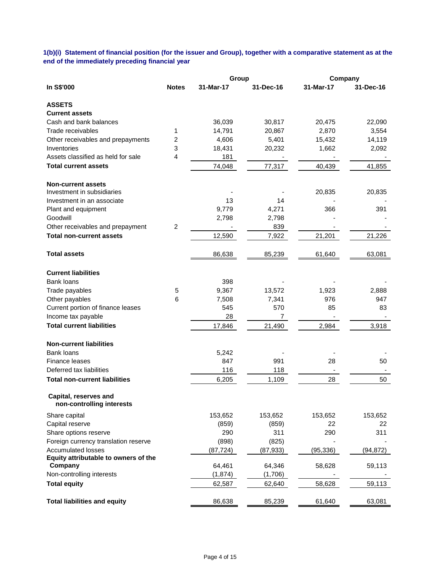**1(b)(i) Statement of financial position (for the issuer and Group), together with a comparative statement as at the end of the immediately preceding financial year**

|                                                    |                | Group     |           | Company   |           |
|----------------------------------------------------|----------------|-----------|-----------|-----------|-----------|
| In S\$'000                                         | <b>Notes</b>   | 31-Mar-17 | 31-Dec-16 | 31-Mar-17 | 31-Dec-16 |
| <b>ASSETS</b>                                      |                |           |           |           |           |
| <b>Current assets</b>                              |                |           |           |           |           |
| Cash and bank balances                             |                | 36,039    | 30,817    | 20,475    | 22,090    |
| Trade receivables                                  | 1              | 14,791    | 20,867    | 2,870     | 3,554     |
| Other receivables and prepayments                  | 2              | 4,606     | 5,401     | 15,432    | 14,119    |
| Inventories                                        | 3              | 18,431    | 20,232    | 1,662     | 2,092     |
| Assets classified as held for sale                 | 4              | 181       |           |           |           |
| <b>Total current assets</b>                        |                | 74,048    | 77,317    | 40,439    | 41,855    |
| <b>Non-current assets</b>                          |                |           |           |           |           |
| Investment in subsidiaries                         |                |           |           | 20,835    | 20,835    |
| Investment in an associate                         |                | 13        | 14        |           |           |
| Plant and equipment                                |                | 9,779     | 4,271     | 366       | 391       |
| Goodwill                                           |                | 2,798     | 2,798     |           |           |
| Other receivables and prepayment                   | $\overline{2}$ |           | 839       |           |           |
| <b>Total non-current assets</b>                    |                | 12,590    | 7,922     | 21,201    | 21,226    |
| <b>Total assets</b>                                |                | 86,638    | 85,239    | 61,640    | 63,081    |
| <b>Current liabilities</b>                         |                |           |           |           |           |
| <b>Bank loans</b>                                  |                | 398       |           |           |           |
| Trade payables                                     | 5              | 9,367     | 13,572    | 1,923     | 2,888     |
| Other payables                                     | 6              | 7,508     | 7,341     | 976       | 947       |
| Current portion of finance leases                  |                | 545       | 570       | 85        | 83        |
| Income tax payable                                 |                | 28        | 7         |           |           |
| <b>Total current liabilities</b>                   |                | 17,846    | 21,490    | 2,984     | 3,918     |
| <b>Non-current liabilities</b>                     |                |           |           |           |           |
| <b>Bank loans</b>                                  |                | 5,242     |           |           |           |
| Finance leases                                     |                | 847       | 991       | 28        | 50        |
| Deferred tax liabilities                           |                | 116       | 118       |           |           |
| <b>Total non-current liabilities</b>               |                | 6,205     | 1,109     | 28        | 50        |
| Capital, reserves and<br>non-controlling interests |                |           |           |           |           |
| Share capital                                      |                | 153,652   | 153,652   | 153,652   | 153,652   |
| Capital reserve                                    |                | (859)     | (859)     | 22        | 22        |
| Share options reserve                              |                | 290       | 311       | 290       | 311       |
| Foreign currency translation reserve               |                | (898)     | (825)     |           |           |
| <b>Accumulated losses</b>                          |                | (87, 724) | (87, 933) | (95, 336) | (94, 872) |
| Equity attributable to owners of the               |                |           |           |           |           |
| Company                                            |                | 64,461    | 64,346    | 58,628    | 59,113    |
| Non-controlling interests                          |                | (1, 874)  | (1,706)   |           |           |
| <b>Total equity</b>                                |                | 62,587    | 62,640    | 58,628    | 59,113    |
| <b>Total liabilities and equity</b>                |                | 86,638    | 85,239    | 61,640    | 63,081    |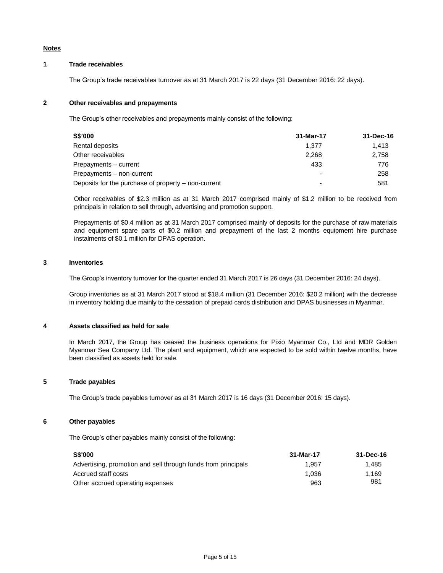### **Notes**

# **1 Trade receivables**

The Group's trade receivables turnover as at 31 March 2017 is 22 days (31 December 2016: 22 days).

### **2 Other receivables and prepayments**

The Group's other receivables and prepayments mainly consist of the following:

| <b>S\$'000</b>                                      | 31-Mar-17 | 31-Dec-16 |
|-----------------------------------------------------|-----------|-----------|
| Rental deposits                                     | 1.377     | 1.413     |
| Other receivables                                   | 2.268     | 2.758     |
| Prepayments - current                               | 433       | 776       |
| Prepayments - non-current                           |           | 258       |
| Deposits for the purchase of property - non-current | -         | 581       |

Other receivables of \$2.3 million as at 31 March 2017 comprised mainly of \$1.2 million to be received from principals in relation to sell through, advertising and promotion support.

Prepayments of \$0.4 million as at 31 March 2017 comprised mainly of deposits for the purchase of raw materials and equipment spare parts of \$0.2 million and prepayment of the last 2 months equipment hire purchase instalments of \$0.1 million for DPAS operation.

#### **3 Inventories**

The Group's inventory turnover for the quarter ended 31 March 2017 is 26 days (31 December 2016: 24 days).

Group inventories as at 31 March 2017 stood at \$18.4 million (31 December 2016: \$20.2 million) with the decrease in inventory holding due mainly to the cessation of prepaid cards distribution and DPAS businesses in Myanmar.

### **4 Assets classified as held for sale**

In March 2017, the Group has ceased the business operations for Pixio Myanmar Co., Ltd and MDR Golden Myanmar Sea Company Ltd. The plant and equipment, which are expected to be sold within twelve months, have been classified as assets held for sale.

# **5 Trade payables**

The Group's trade payables turnover as at 31 March 2017 is 16 days (31 December 2016: 15 days).

# **6 Other payables**

The Group's other payables mainly consist of the following:

| <b>S\$'000</b>                                                | 31-Mar-17 | 31-Dec-16 |
|---------------------------------------------------------------|-----------|-----------|
| Advertising, promotion and sell through funds from principals | 1.957     | 1.485     |
| Accrued staff costs                                           | 1.036     | 1.169     |
| Other accrued operating expenses                              | 963       | 981       |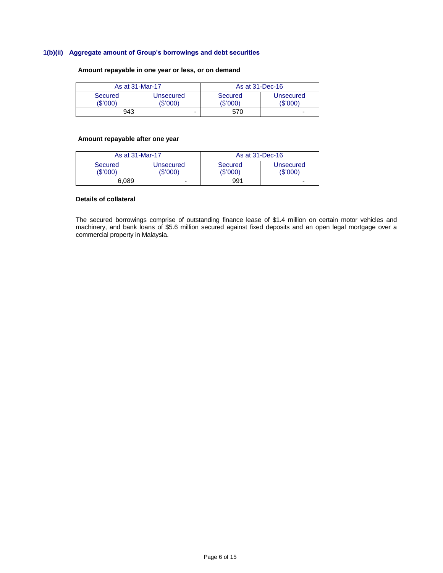# **1(b)(ii) Aggregate amount of Group's borrowings and debt securities**

# **Amount repayable in one year or less, or on demand**

| As at 31-Mar-17     |                       | As at 31-Dec-16     |                       |
|---------------------|-----------------------|---------------------|-----------------------|
| Secured<br>(\$'000) | Unsecured<br>(\$'000) | Secured<br>'\$'000) | Unsecured<br>(\$'000) |
| 943                 | -                     | 570                 | -                     |

# **Amount repayable after one year**

|                            | As at 31-Mar-17       |                     | As at 31-Dec-16       |
|----------------------------|-----------------------|---------------------|-----------------------|
| <b>Secured</b><br>(\$'000) | Unsecured<br>(\$'000) | Secured<br>(\$'000) | Unsecured<br>(\$'000) |
| 6.089                      | -                     | 991                 | -                     |

# **Details of collateral**

The secured borrowings comprise of outstanding finance lease of \$1.4 million on certain motor vehicles and machinery, and bank loans of \$5.6 million secured against fixed deposits and an open legal mortgage over a commercial property in Malaysia.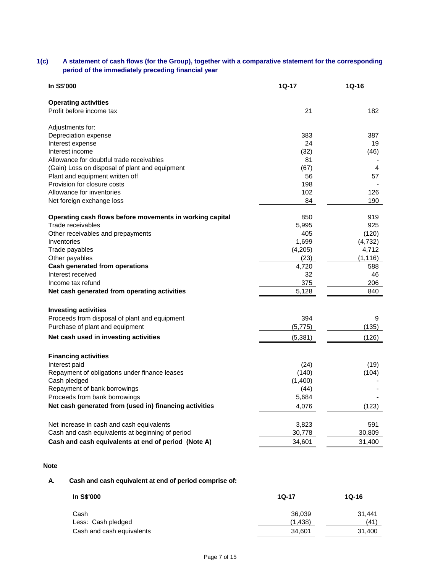# **1(c) A statement of cash flows (for the Group), together with a comparative statement for the corresponding period of the immediately preceding financial year**

| In S\$'000                                               | 1Q-17    | $1Q-16$  |
|----------------------------------------------------------|----------|----------|
| <b>Operating activities</b>                              |          |          |
| Profit before income tax                                 | 21       | 182      |
| Adjustments for:                                         |          |          |
| Depreciation expense                                     | 383      | 387      |
| Interest expense                                         | 24       | 19       |
| Interest income                                          | (32)     | (46)     |
| Allowance for doubtful trade receivables                 | 81       |          |
| (Gain) Loss on disposal of plant and equipment           | (67)     | 4        |
| Plant and equipment written off                          | 56       | 57       |
| Provision for closure costs                              | 198      |          |
| Allowance for inventories                                | 102      | 126      |
| Net foreign exchange loss                                | 84       | 190      |
| Operating cash flows before movements in working capital | 850      | 919      |
| Trade receivables                                        | 5,995    | 925      |
| Other receivables and prepayments                        | 405      | (120)    |
| Inventories                                              | 1,699    | (4, 732) |
| Trade payables                                           | (4,205)  | 4,712    |
| Other payables                                           | (23)     | (1, 116) |
| Cash generated from operations                           | 4,720    | 588      |
| Interest received                                        | 32       | 46       |
| Income tax refund                                        | 375      | 206      |
| Net cash generated from operating activities             | 5,128    | 840      |
| <b>Investing activities</b>                              |          |          |
| Proceeds from disposal of plant and equipment            | 394      | 9        |
| Purchase of plant and equipment                          | (5, 775) | (135)    |
| Net cash used in investing activities                    | (5,381)  | (126)    |
| <b>Financing activities</b>                              |          |          |
| Interest paid                                            | (24)     | (19)     |
| Repayment of obligations under finance leases            | (140)    | (104)    |
| Cash pledged                                             | (1,400)  |          |
| Repayment of bank borrowings                             | (44)     |          |
| Proceeds from bank borrowings                            | 5,684    |          |
| Net cash generated from (used in) financing activities   | 4,076    | (123)    |
|                                                          |          |          |
| Net increase in cash and cash equivalents                | 3,823    | 591      |
| Cash and cash equivalents at beginning of period         | 30,778   | 30,809   |
| Cash and cash equivalents at end of period (Note A)      | 34,601   | 31,400   |

# **Note**

# **A. Cash and cash equivalent at end of period comprise of:**

| In S\$'000                | $10-17$ | $10 - 16$ |
|---------------------------|---------|-----------|
| Cash                      | 36.039  | 31.441    |
| Less: Cash pledged        | (1,438) | (41)      |
| Cash and cash equivalents | 34.601  | 31.400    |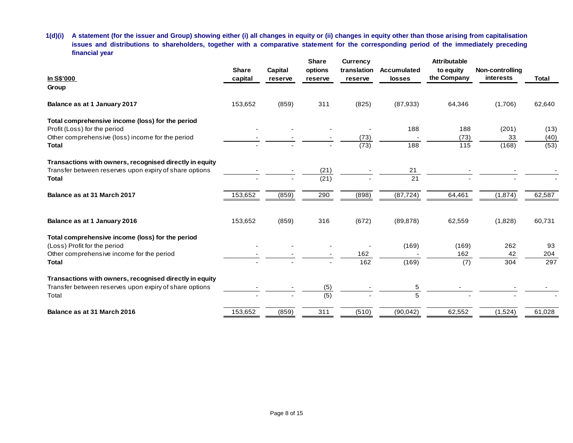**1(d)(i) A statement (for the issuer and Group) showing either (i) all changes in equity or (ii) changes in equity other than those arising from capitalisation issues and distributions to shareholders, together with a comparative statement for the corresponding period of the immediately preceding financial year**

|                                                         |              |         | <b>Share</b> | <b>Currency</b> |                    | <b>Attributable</b> |                 |        |
|---------------------------------------------------------|--------------|---------|--------------|-----------------|--------------------|---------------------|-----------------|--------|
|                                                         | <b>Share</b> | Capital | options      | translation     | <b>Accumulated</b> | to equity           | Non-controlling |        |
| In S\$'000                                              | capital      | reserve | reserve      | reserve         | losses             | the Company         | interests       | Total  |
| Group                                                   |              |         |              |                 |                    |                     |                 |        |
| Balance as at 1 January 2017                            | 153,652      | (859)   | 311          | (825)           | (87, 933)          | 64,346              | (1,706)         | 62,640 |
| Total comprehensive income (loss) for the period        |              |         |              |                 |                    |                     |                 |        |
| Profit (Loss) for the period                            |              |         |              |                 | 188                | 188                 | (201)           | (13)   |
| Other comprehensive (loss) income for the period        |              |         |              | (73)            |                    | (73)                | 33              | (40)   |
| <b>Total</b>                                            |              |         |              | (73)            | 188                | 115                 | (168)           | (53)   |
| Transactions with owners, recognised directly in equity |              |         |              |                 |                    |                     |                 |        |
| Transfer between reserves upon expiry of share options  |              |         | (21)         |                 | 21                 |                     |                 |        |
| Total                                                   |              |         | (21)         |                 | 21                 |                     |                 |        |
| Balance as at 31 March 2017                             | 153,652      | (859)   | 290          | (898)           | (87, 724)          | 64,461              | (1,874)         | 62,587 |
| Balance as at 1 January 2016                            | 153,652      | (859)   | 316          | (672)           | (89, 878)          | 62,559              | (1,828)         | 60,731 |
| Total comprehensive income (loss) for the period        |              |         |              |                 |                    |                     |                 |        |
| (Loss) Profit for the period                            |              |         |              |                 | (169)              | (169)               | 262             | 93     |
| Other comprehensive income for the period               |              |         |              | 162             |                    | 162                 | 42              | 204    |
| Total                                                   |              |         |              | 162             | (169)              | (7)                 | 304             | 297    |
| Transactions with owners, recognised directly in equity |              |         |              |                 |                    |                     |                 |        |
| Transfer between reserves upon expiry of share options  |              |         | (5)          |                 | 5                  |                     |                 |        |
| Total                                                   |              |         | (5)          |                 | 5                  |                     |                 |        |
| Balance as at 31 March 2016                             | 153,652      | (859)   | 311          | (510)           | (90, 042)          | 62,552              | (1,524)         | 61,028 |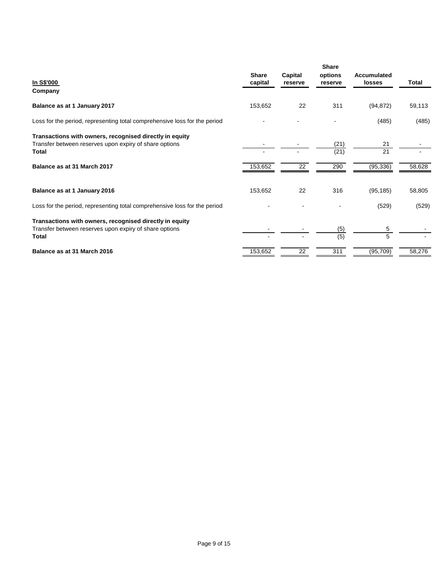|                                                                                                                                   | <b>Share</b> | Capital | <b>Share</b><br>options | Accumulated |        |
|-----------------------------------------------------------------------------------------------------------------------------------|--------------|---------|-------------------------|-------------|--------|
| <u>In S\$'000</u><br>Company                                                                                                      | capital      | reserve | reserve                 | losses      | Total  |
| Balance as at 1 January 2017                                                                                                      | 153,652      | 22      | 311                     | (94, 872)   | 59,113 |
| Loss for the period, representing total comprehensive loss for the period                                                         |              |         |                         | (485)       | (485)  |
| Transactions with owners, recognised directly in equity<br>Transfer between reserves upon expiry of share options<br><b>Total</b> |              |         | (21)<br>(21)            | 21<br>21    |        |
| Balance as at 31 March 2017                                                                                                       | 153,652      | 22      | 290                     | (95, 336)   | 58,628 |
| Balance as at 1 January 2016                                                                                                      | 153,652      | 22      | 316                     | (95, 185)   | 58,805 |
| Loss for the period, representing total comprehensive loss for the period                                                         |              |         |                         | (529)       | (529)  |
| Transactions with owners, recognised directly in equity<br>Transfer between reserves upon expiry of share options<br><b>Total</b> |              |         | (5)<br>(5)              | 5<br>5      |        |
| Balance as at 31 March 2016                                                                                                       | 153,652      | 22      | 311                     | (95, 709)   | 58,276 |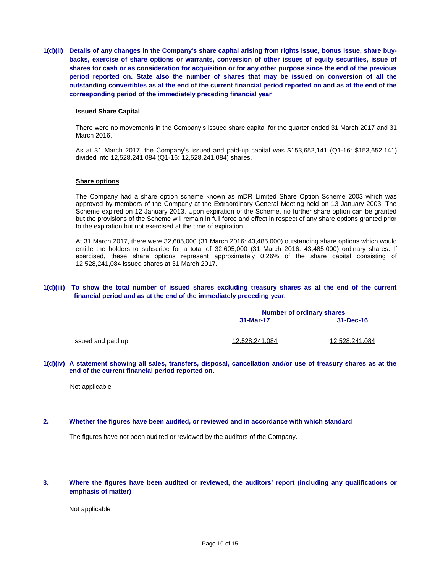**1(d)(ii) Details of any changes in the Company's share capital arising from rights issue, bonus issue, share buybacks, exercise of share options or warrants, conversion of other issues of equity securities, issue of shares for cash or as consideration for acquisition or for any other purpose since the end of the previous period reported on. State also the number of shares that may be issued on conversion of all the outstanding convertibles as at the end of the current financial period reported on and as at the end of the corresponding period of the immediately preceding financial year**

#### **Issued Share Capital**

There were no movements in the Company's issued share capital for the quarter ended 31 March 2017 and 31 March 2016.

As at 31 March 2017, the Company's issued and paid-up capital was \$153,652,141 (Q1-16: \$153,652,141) divided into 12,528,241,084 (Q1-16: 12,528,241,084) shares.

#### **Share options**

The Company had a share option scheme known as mDR Limited Share Option Scheme 2003 which was approved by members of the Company at the Extraordinary General Meeting held on 13 January 2003. The Scheme expired on 12 January 2013. Upon expiration of the Scheme, no further share option can be granted but the provisions of the Scheme will remain in full force and effect in respect of any share options granted prior to the expiration but not exercised at the time of expiration.

At 31 March 2017, there were 32,605,000 (31 March 2016: 43,485,000) outstanding share options which would entitle the holders to subscribe for a total of 32,605,000 (31 March 2016: 43,485,000) ordinary shares. If exercised, these share options represent approximately 0.26% of the share capital consisting of 12,528,241,084 issued shares at 31 March 2017.

### **1(d)(iii) To show the total number of issued shares excluding treasury shares as at the end of the current financial period and as at the end of the immediately preceding year.**

|                    | <b>Number of ordinary shares</b> |                |  |
|--------------------|----------------------------------|----------------|--|
|                    | 31-Mar-17                        | 31-Dec-16      |  |
| Issued and paid up | 12.528.241.084                   | 12,528,241,084 |  |

**1(d)(iv) A statement showing all sales, transfers, disposal, cancellation and/or use of treasury shares as at the end of the current financial period reported on.**

Not applicable

#### **2. Whether the figures have been audited, or reviewed and in accordance with which standard**

The figures have not been audited or reviewed by the auditors of the Company.

### **3. Where the figures have been audited or reviewed, the auditors' report (including any qualifications or emphasis of matter)**

Not applicable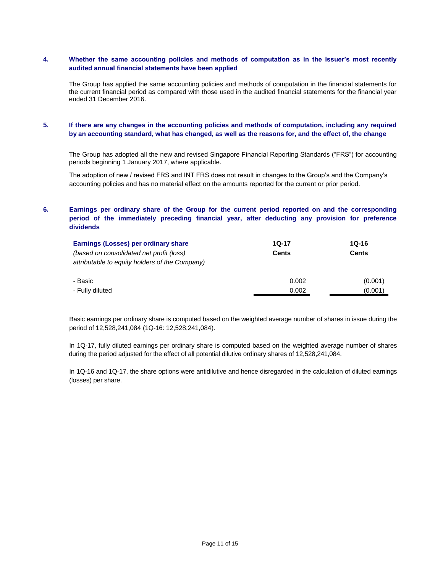# **4. Whether the same accounting policies and methods of computation as in the issuer's most recently audited annual financial statements have been applied**

The Group has applied the same accounting policies and methods of computation in the financial statements for the current financial period as compared with those used in the audited financial statements for the financial year ended 31 December 2016.

# **5. If there are any changes in the accounting policies and methods of computation, including any required by an accounting standard, what has changed, as well as the reasons for, and the effect of, the change**

The Group has adopted all the new and revised Singapore Financial Reporting Standards ("FRS") for accounting periods beginning 1 January 2017, where applicable.

The adoption of new / revised FRS and INT FRS does not result in changes to the Group's and the Company's accounting policies and has no material effect on the amounts reported for the current or prior period.

# **6. Earnings per ordinary share of the Group for the current period reported on and the corresponding period of the immediately preceding financial year, after deducting any provision for preference dividends**

| Earnings (Losses) per ordinary share           | $1Q-17$      | 1Q-16        |  |
|------------------------------------------------|--------------|--------------|--|
| (based on consolidated net profit (loss)       | <b>Cents</b> | <b>Cents</b> |  |
| attributable to equity holders of the Company) |              |              |  |
| - Basic                                        | 0.002        | (0.001)      |  |
| - Fully diluted                                | 0.002        | (0.001)      |  |

Basic earnings per ordinary share is computed based on the weighted average number of shares in issue during the period of 12,528,241,084 (1Q-16: 12,528,241,084).

In 1Q-17, fully diluted earnings per ordinary share is computed based on the weighted average number of shares during the period adjusted for the effect of all potential dilutive ordinary shares of 12,528,241,084.

In 1Q-16 and 1Q-17, the share options were antidilutive and hence disregarded in the calculation of diluted earnings (losses) per share.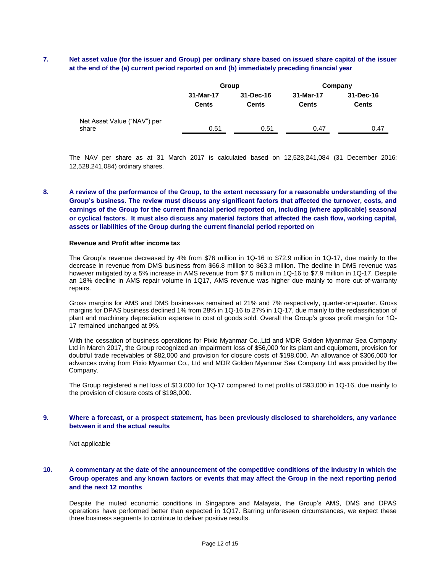# **7. Net asset value (for the issuer and Group) per ordinary share based on issued share capital of the issuer at the end of the (a) current period reported on and (b) immediately preceding financial year**

|                                      |                           | Group                     | Company                   |                           |  |
|--------------------------------------|---------------------------|---------------------------|---------------------------|---------------------------|--|
|                                      | 31-Mar-17<br><b>Cents</b> | 31-Dec-16<br><b>Cents</b> | 31-Mar-17<br><b>Cents</b> | 31-Dec-16<br><b>Cents</b> |  |
| Net Asset Value ("NAV") per<br>share | 0.51                      | 0.51                      | 0.47                      | 0.47                      |  |

The NAV per share as at 31 March 2017 is calculated based on 12,528,241,084 (31 December 2016: 12,528,241,084) ordinary shares.

# **8. A review of the performance of the Group, to the extent necessary for a reasonable understanding of the Group's business. The review must discuss any significant factors that affected the turnover, costs, and earnings of the Group for the current financial period reported on, including (where applicable) seasonal or cyclical factors. It must also discuss any material factors that affected the cash flow, working capital, assets or liabilities of the Group during the current financial period reported on**

#### **Revenue and Profit after income tax**

The Group's revenue decreased by 4% from \$76 million in 1Q-16 to \$72.9 million in 1Q-17, due mainly to the decrease in revenue from DMS business from \$66.8 million to \$63.3 million. The decline in DMS revenue was however mitigated by a 5% increase in AMS revenue from \$7.5 million in 1Q-16 to \$7.9 million in 1Q-17. Despite an 18% decline in AMS repair volume in 1Q17, AMS revenue was higher due mainly to more out-of-warranty repairs.

Gross margins for AMS and DMS businesses remained at 21% and 7% respectively, quarter-on-quarter. Gross margins for DPAS business declined 1% from 28% in 1Q-16 to 27% in 1Q-17, due mainly to the reclassification of plant and machinery depreciation expense to cost of goods sold. Overall the Group's gross profit margin for 1Q-17 remained unchanged at 9%.

With the cessation of business operations for Pixio Myanmar Co.,Ltd and MDR Golden Myanmar Sea Company Ltd in March 2017, the Group recognized an impairment loss of \$56,000 for its plant and equipment, provision for doubtful trade receivables of \$82,000 and provision for closure costs of \$198,000. An allowance of \$306,000 for advances owing from Pixio Myanmar Co., Ltd and MDR Golden Myanmar Sea Company Ltd was provided by the Company.

The Group registered a net loss of \$13,000 for 1Q-17 compared to net profits of \$93,000 in 1Q-16, due mainly to the provision of closure costs of \$198,000.

#### **9. Where a forecast, or a prospect statement, has been previously disclosed to shareholders, any variance between it and the actual results**

Not applicable

# **10. A commentary at the date of the announcement of the competitive conditions of the industry in which the Group operates and any known factors or events that may affect the Group in the next reporting period and the next 12 months**

Despite the muted economic conditions in Singapore and Malaysia, the Group's AMS, DMS and DPAS operations have performed better than expected in 1Q17. Barring unforeseen circumstances, we expect these three business segments to continue to deliver positive results.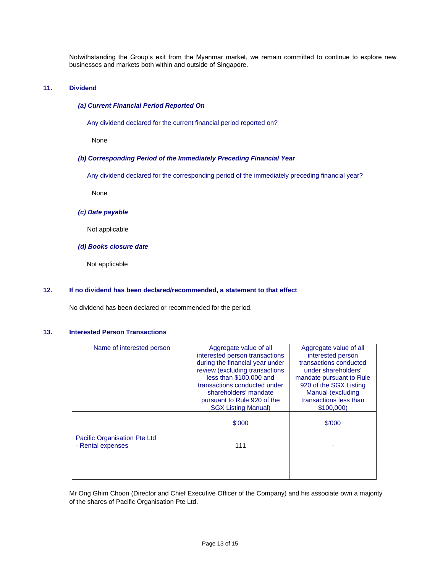Notwithstanding the Group's exit from the Myanmar market, we remain committed to continue to explore new businesses and markets both within and outside of Singapore.

#### **11. Dividend**

### *(a) Current Financial Period Reported On*

Any dividend declared for the current financial period reported on?

None

#### *(b) Corresponding Period of the Immediately Preceding Financial Year*

Any dividend declared for the corresponding period of the immediately preceding financial year?

None

### *(c) Date payable*

Not applicable

# *(d) Books closure date*

Not applicable

#### **12. If no dividend has been declared/recommended, a statement to that effect**

No dividend has been declared or recommended for the period.

#### **13. Interested Person Transactions**

| Name of interested person                         | Aggregate value of all          | Aggregate value of all   |
|---------------------------------------------------|---------------------------------|--------------------------|
|                                                   | interested person transactions  | interested person        |
|                                                   | during the financial year under | transactions conducted   |
|                                                   | review (excluding transactions  | under shareholders'      |
|                                                   | less than \$100,000 and         | mandate pursuant to Rule |
|                                                   | transactions conducted under    | 920 of the SGX Listing   |
|                                                   | shareholders' mandate           | Manual (excluding        |
|                                                   | pursuant to Rule 920 of the     | transactions less than   |
|                                                   | <b>SGX Listing Manual)</b>      | \$100,000)               |
|                                                   | \$'000                          | \$'000                   |
| Pacific Organisation Pte Ltd<br>- Rental expenses | 111                             |                          |
|                                                   |                                 |                          |
|                                                   |                                 |                          |
|                                                   |                                 |                          |

Mr Ong Ghim Choon (Director and Chief Executive Officer of the Company) and his associate own a majority of the shares of Pacific Organisation Pte Ltd.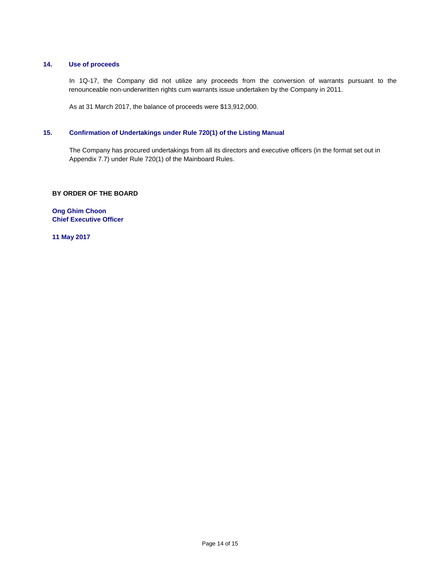# **14. Use of proceeds**

In 1Q-17, the Company did not utilize any proceeds from the conversion of warrants pursuant to the renounceable non-underwritten rights cum warrants issue undertaken by the Company in 2011.

As at 31 March 2017, the balance of proceeds were \$13,912,000.

# **15. Confirmation of Undertakings under Rule 720(1) of the Listing Manual**

The Company has procured undertakings from all its directors and executive officers (in the format set out in Appendix 7.7) under Rule 720(1) of the Mainboard Rules.

# **BY ORDER OF THE BOARD**

**Ong Ghim Choon Chief Executive Officer**

**11 May 2017**